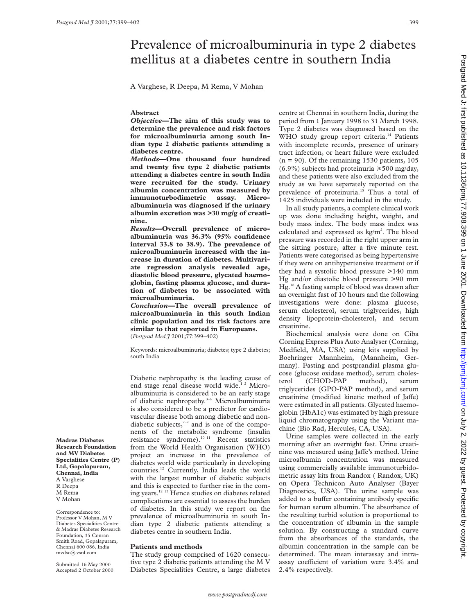# Prevalence of microalbuminuria in type 2 diabetes mellitus at a diabetes centre in southern India

A Varghese, R Deepa, M Rema, V Mohan

## **Abstract**

*Objective—***The aim of this study was to determine the prevalence and risk factors for microalbuminuria among south Indian type 2 diabetic patients attending a diabetes centre.**

*Methods—***One thousand four hundred and twenty five type 2 diabetic patients attending a diabetes centre in south India were recruited for the study. Urinary albumin concentration was measured by immunoturbodimetric assay. Microalbuminuria was diagnosed if the urinary albumin excretion was >30 mg/g of creatinine.**

*Results—***Overall prevalence of microalbuminuria was 36.3% (95% confidence interval 33.8 to 38.9). The prevalence of microalbuminuria increased with the increase in duration of diabetes. Multivariate regression analysis revealed age, diastolic blood pressure, glycated haemoglobin, fasting plasma glucose, and duration of diabetes to be associated with microalbuminuria.**

*Conclusion—***The overall prevalence of microalbuminuria in this south Indian clinic population and its risk factors are similar to that reported in Europeans.** (*Postgrad Med J* 2001;**77**:399–402)

Keywords: microalbuminuria; diabetes; type 2 diabetes; south India

Diabetic nephropathy is the leading cause of end stage renal disease world wide.<sup>12</sup> Microalbuminuria is considered to be an early stage of diabetic nephropathy.<sup>3-6</sup> Microalbuminuria is also considered to be a predictor for cardiovascular disease both among diabetic and nondiabetic subjects, $7-9$  and is one of the components of the metabolic syndrome (insulin resistance syndrome).<sup>10 11</sup> Recent statistics from the World Health Organisation (WHO) project an increase in the prevalence of diabetes world wide particularly in developing countries.12 Currently, India leads the world with the largest number of diabetic subjects and this is expected to further rise in the coming years.12 13 Hence studies on diabetes related complications are essential to assess the burden of diabetes. In this study we report on the prevalence of microalbuminuria in south Indian type 2 diabetic patients attending a diabetes centre in southern India.

## **Patients and methods**

The study group comprised of 1620 consecutive type 2 diabetic patients attending the M V Diabetes Specialities Centre, a large diabetes centre at Chennai in southern India, during the period from 1 January 1998 to 31 March 1998. Type 2 diabetes was diagnosed based on the WHO study group report criteria.<sup>14</sup> Patients with incomplete records, presence of urinary tract infection, or heart failure were excluded  $(n = 90)$ . Of the remaining 1530 patients, 105  $(6.9\%)$  subjects had proteinuria  $\geq 500$  mg/day, and these patients were also excluded from the study as we have separately reported on the prevalence of proteinuria.<sup>15</sup> Thus a total of 1425 individuals were included in the study.

In all study patients, a complete clinical work up was done including height, weight, and body mass index. The body mass index was calculated and expressed as  $kg/m<sup>2</sup>$ . The blood pressure was recorded in the right upper arm in the sitting posture, after a five minute rest. Patients were categorised as being hypertensive if they were on antihypertensive treatment or if they had a systolic blood pressure >140 mm Hg and/or diastolic blood pressure >90 mm Hg.16 A fasting sample of blood was drawn after an overnight fast of 10 hours and the following investigations were done: plasma glucose, serum cholesterol, serum triglycerides, high density lipoprotein-cholesterol, and serum creatinine.

Biochemical analysis were done on Ciba Corning Express Plus Auto Analyser (Corning, Medfield, MA, USA) using kits supplied by Boehringer Mannheim, (Mannheim, Germany). Fasting and postprandial plasma glucose (glucose oxidase method), serum cholesterol (CHOD-PAP method), serum triglycerides (GPO-PAP method), and serum creatinine (modified kinetic method of Jaffe) were estimated in all patients. Glycated haemoglobin (HbA1c) was estimated by high pressure liquid chromatography using the Variant machine (Bio Rad, Hercules, CA, USA).

Urine samples were collected in the early morning after an overnight fast. Urine creatinine was measured using Jaffe's method. Urine microalbumin concentration was measured using commercially available immunoturbidometric assay kits from Randox ( Randox, UK) on Opera Technicon Auto Analyser (Bayer Diagnostics, USA). The urine sample was added to a buffer containing antibody specific for human serum albumin. The absorbance of the resulting turbid solution is proportional to the concentration of albumin in the sample solution. By constructing a standard curve from the absorbances of the standards, the albumin concentration in the sample can be determined. The mean interassay and intraassay coefficient of variation were 3.4% and 2.4% respectively.

Postgrad Med J: first published as 10.1136/pmj.77.908.399 on 1 June 2001. Downloaded from http://pmj.com/ on July 2, 2022 by guest. Protected by copyright on July 2, 2022 by guest. Protected by copyright. <http://pmj.bmj.com/> Postgrad Med J: first published as 10.1136/pmj.77.908.399 on 1 June 2001. Downloaded from

**Madras Diabetes Research Foundation and MV Diabetes Specialities Centre (P) Ltd, Gopalapuram, Chennai, India** A Varghese R Deepa M Rema V Mohan

Correspondence to: Professor V Mohan, M V Diabetes Specialities Centre & Madras Diabetes Research Foundation, 35 Conran Smith Road, Gopalapuram, Chennai 600 086, India mvdsc@.vsnl.com

Submitted 16 May 2000 Accepted 2 October 2000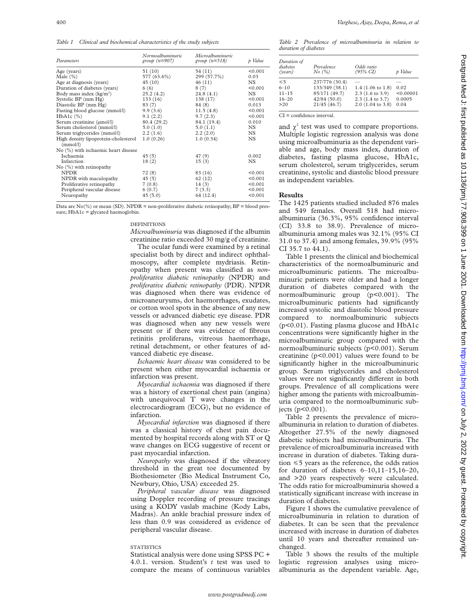*Table 1 Clinical and biochemical characteristics of the study subjects*

| Parameters                                       | Normoalbuminuric<br>group $(n=907)$ | Microalbuminuric<br>group $(n=518)$ | p Value   |  |
|--------------------------------------------------|-------------------------------------|-------------------------------------|-----------|--|
| Age (years)                                      | 51 (10)                             | 54 (11)                             | < 0.001   |  |
| Male $(\% )$                                     | 577 (63.6%)                         | 299 (57.7%)                         | 0.03      |  |
| Age at diagnosis (years)                         | 45(10)                              | 46(11)                              | NS.       |  |
| Duration of diabetes (years)                     | 6(6)                                | 8(7)                                | < 0.001   |  |
| Body mass index $(kg/m2)$                        | 25.2(4.2)                           | 24.8(4.1)                           | NS.       |  |
| Systolic BP (mm Hg)                              | 133(16)                             | 138(17)                             | < 0.001   |  |
| Diastolic BP (mm Hg)                             | 83 (7)                              | 84 (8)                              | 0.013     |  |
| Fasting blood glucose (mmol/l)                   | 9.9(3.6)                            | 11.5(4.8)                           | < 0.001   |  |
| $HbA1c$ $(\%)$                                   | 9.1(2.2)                            | 9.7(2.3)                            | < 0.001   |  |
| Serum creatinine (umol/l)                        | 80.4 (29.2)                         | 84.1 (19.4)                         | 0.010     |  |
| Serum cholesterol (mmol/l)                       | 5.0(1.0)                            | 5.0(1.1)                            | NS.       |  |
| Serum triglycerides (mmol/l)                     | 2.2(1.6)                            | 2.2(2.0)                            | NS.       |  |
| High density lipoprotein-cholesterol<br>(mmol/l) | 1.0(0.26)                           | 1.0(0.34)                           | <b>NS</b> |  |
| No (%) with ischaemic heart disease              |                                     |                                     |           |  |
| Ischaemia                                        | 45(5)                               | 47(9)                               | 0.002     |  |
| Infarction                                       | 18(2)                               | 15(3)                               | NS.       |  |
| $No$ (%) with retinopathy                        |                                     |                                     |           |  |
| <b>NPDR</b>                                      | 72(8)                               | 83 (16)                             | < 0.001   |  |
| NPDR with maculopathy                            | 45(5)                               | 62 (12)                             | < 0.001   |  |
| Proliferative retinopathy                        | 7(0.8)                              | 14(3)                               | < 0.001   |  |
| Peripheral vascular disease                      | 6(0.7)                              | 7(3.3)                              | < 0.001   |  |
| Neuropathy                                       | 45(5.0)                             | 64 (12.4)                           | < 0.001   |  |

Data are  $No(\%)$  or mean (SD). NPDR = non-proliferative diabetic retinopathy; BP = blood pressure; HbA1c = glycated haemoglobin.

#### DEFINITIONS

*Microalbuminuria* was diagnosed if the albumin creatinine ratio exceeded 30 mg/g of creatinine.

The ocular fundi were examined by a retinal specialist both by direct and indirect ophthalmoscopy, after complete mydriasis. Retinopathy when present was classified as *nonproliferative diabetic retinopathy* (NPDR) and *proliferative diabetic retinopathy* (PDR). NPDR was diagnosed when there was evidence of microaneurysms, dot haemorrhages, exudates, or cotton wool spots in the absence of any new vessels or advanced diabetic eye disease. PDR was diagnosed when any new vessels were present or if there was evidence of fibrous retinitis proliferans, vitreous haemorrhage, retinal detachment, or other features of advanced diabetic eye disease.

*Ischaemic heart disease* was considered to be present when either myocardial ischaemia or infarction was present.

*Myocardial ischaemia* was diagnosed if there was a history of exertional chest pain (angina) with unequivocal T wave changes in the electrocardiogram (ECG), but no evidence of infarction.

*Myocardial infarction* was diagnosed if there was a classical history of chest pain documented by hospital records along with ST or Q wave changes on ECG suggestive of recent or past myocardial infarction.

*Neuropathy* was diagnosed if the vibratory threshold in the great toe documented by Biothesiometer (Bio Medical Instrument Co, Newbury, Ohio, USA) exceeded 25.

*Peripheral vascular disease* was diagnosed using Doppler recording of pressure tracings using a KODY vaslab machine (Kody Labs, Madras). An ankle brachial pressure index of less than 0.9 was considered as evidence of peripheral vascular disease.

## **STATISTICS**

Statistical analysis were done using SPSS PC + 4.0.1. version. Student's *t* test was used to compare the means of continuous variables

*Table 2 Prevalence of microalbuminuria in relation to duration of diabetes*

| Duration of<br>diabetes<br>(years) | Prevalence<br>No (%) | Odds ratio<br>$(95\% \text{ CI})$ | p Value   |
|------------------------------------|----------------------|-----------------------------------|-----------|
| $\leq 5$                           | 237/776 (30.4)       |                                   |           |
| $6 - 10$                           | 133/349 (38.1)       | $1.4$ (1.06 to 1.8)               | 0.02      |
| $11 - 15$                          | 85/171 (49.7)        | $2.3(1.6 \text{ to } 3.9)$        | < 0.00001 |
| $16 - 20$                          | 42/84(50.0)          | 2.3 (1.4 to 3.7)                  | 0.0005    |
| >20                                | 21/45(46.7)          | $2.0$ (1.04 to 3.8)               | 0.04      |

CI = confidence interval.

and  $\chi^2$  test was used to compare proportions. Multiple logistic regression analysis was done using microalbuminuria as the dependent variable and age, body mass index, duration of diabetes, fasting plasma glucose, HbA1c, serum cholesterol, serum triglycerides, serum creatinine, systolic and diastolic blood pressure as independent variables.

### **Results**

The 1425 patients studied included 876 males and 549 females. Overall 518 had microalbuminuria (36.3%, 95% confidence interval (CI) 33.8 to 38.9). Prevalence of microalbuminuria among males was 32.1% (95% CI 31.0 to 37.4) and among females, 39.9% (95% CI 35.7 to 44.1).

Table 1 presents the clinical and biochemical characteristics of the normoalbuminuric and microalbuminuric patients. The microalbuminuric patients were older and had a longer duration of diabetes compared with the normoalbuminuric group (p<0.001). The microalbuminuric patients had significantly increased systolic and diastolic blood pressure compared to normoalbuminuric subjects (p<0.01). Fasting plasma glucose and HbA1c concentrations were significantly higher in the microalbuminuric group compared with the normoalbuminuric subjects (p<0.001). Serum creatinine  $(p<0.001)$  values were found to be significantly higher in the microalbuminuric group. Serum triglycerides and cholesterol values were not significantly different in both groups. Prevalence of all complications were higher among the patients with microalbuminuria compared to the normoalbuminuric subjects (p<0.001).

Table 2 presents the prevalence of microalbuminuria in relation to duration of diabetes. Altogether 27.5% of the newly diagnosed diabetic subjects had microalbuminuria. The prevalence of microalbuminuria increased with increase in duration of diabetes. Taking duration  $\leq 5$  years as the reference, the odds ratios for duration of diabetes  $6-10,11-15,16-20$ , and >20 years respectively were calculated. The odds ratio for microalbuminuria showed a statistically significant increase with increase in duration of diabetes.

Figure 1 shows the cumulative prevalence of microalbuminuria in relation to duration of diabetes. It can be seen that the prevalence increased with increase in duration of diabetes until 10 years and thereafter remained unchanged.

Table 3 shows the results of the multiple logistic regression analyses using microalbuminuria as the dependent variable. Age,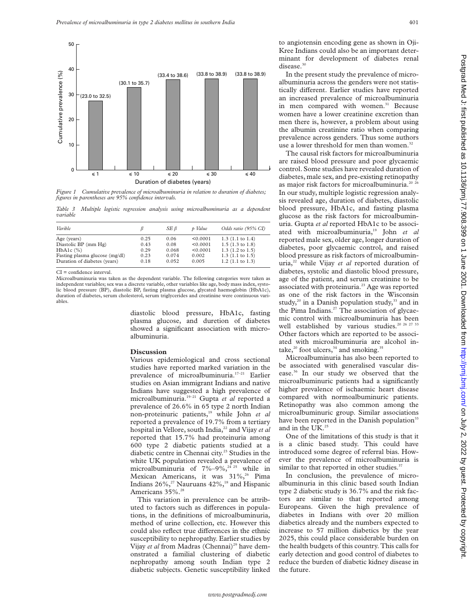

*Figure 1 Cumulative prevalence of microalbuminuria in relation to duration of diabetes; figures in parentheses are 95% confidence intervals.*

*Table 3 Multiple logistic regression analysis using microalbuminuria as a dependent variable*

| Varible                        |      | SE ß  | p Value  | Odds ratio (95% CI)        |
|--------------------------------|------|-------|----------|----------------------------|
| Age (years)                    | 0.25 | 0.06  | < 0.0001 | $1.3$ (1.1 to 1.4)         |
| Diastolic BP (mm Hg)           | 0.43 | 0.08  | < 0.0001 | $1.5(1.3 \text{ to } 1.8)$ |
| $HbA1c$ $(\%)$                 | 0.29 | 0.068 | < 0.0001 | $1.3$ (1.2 to 1.5)         |
| Fasting plasma glucose (mg/dl) | 0.23 | 0.074 | 0.002    | $1.3$ (1.1 to 1.5)         |
| Duration of diabetes (years)   | 0.18 | 0.052 | 0.005    | $1.2$ (1.1 to 1.3)         |

CI = confidence interval.

Microalbuminuria was taken as the dependent variable. The following categories were taken as independent variables; sex was a discrete variable, other variables like age, body mass index, systolic blood pressure (BP), diastolic BP, fasting plasma glucose, glycated haemoglobin (HbA1c), duration of diabetes, serum cholesterol, serum triglycerides and creatinine were continuous variables.

> diastolic blood pressure, HbA1c, fasting plasma glucose, and duretion of diabetes showed a significant association with microalbuminuria.

#### **Discussion**

Various epidemiological and cross sectional studies have reported marked variation in the prevalence of microalbuminuria.<sup>17-21</sup> Earlier studies on Asian immigrant Indians and native Indians have suggested a high prevalence of microalbuminuria.19–21 Gupta *et al* reported a prevalence of 26.6% in 65 type 2 north Indian non-proteinuric patients,19 while John *et al* reported a prevalence of 19.7% from a tertiary hospital in Vellore, south India,<sup>22</sup> and Vijay et al reported that 15.7% had proteinuria among 600 type 2 diabetic patients studied at a diabetic centre in Chennai city.<sup>23</sup> Studies in the white UK population revealed a prevalence of microalbuminuria of  $7\%-9\%$ ,<sup>24 25</sup> while in Mexican Americans, it was 31%,<sup>26</sup> Pima Indians  $26\%,^{27}$  Nauruans  $42\%,^{18}$  and Hispanic Americans 35%.<sup>28</sup>

This variation in prevalence can be attributed to factors such as differences in populations, in the definitions of microalbuminuria, method of urine collection, etc. However this could also reflect true differences in the ethnic susceptibility to nephropathy. Earlier studies by Vijay *et al* from Madras (Chennai)<sup>29</sup> have demonstrated a familial clustering of diabetic nephropathy among south Indian type 2 diabetic subjects. Genetic susceptibility linked to angiotensin encoding gene as shown in Oji-Kree Indians could also be an important determinant for development of diabetes renal disease.<sup>30</sup>

In the present study the prevalence of microalbuminuria across the genders were not statistically different. Earlier studies have reported an increased prevalence of microalbuminuria in men compared with women.<sup>31</sup> Because women have a lower creatinine excretion than men there is, however, a problem about using the albumin creatinine ratio when comparing prevalence across genders. Thus some authors use a lower threshold for men than women.<sup>32</sup>

The causal risk factors for microalbuminuria are raised blood pressure and poor glycaemic control. Some studies have revealed duration of diabetes, male sex, and pre-existing retinopathy as major risk factors for microalbuminuria.<sup>20 2</sup> In our study, multiple logistic regression analysis revealed age, duration of diabetes, diastolic blood pressure, HbA1c, and fasting plasma glucose as the risk factors for microalbuminuria. Gupta *et al* reported HbA1c to be associated with microalbuminuria,19 John *et al* reported male sex, older age, longer duration of diabetes, poor glycaemic control, and raised blood pressure as risk factors of microalbuminuria,<sup>22</sup> while Vijay et al reported duration of diabetes, systolic and diastolic blood pressure, age of the patient, and serum creatinine to be associated with proteinuria.<sup>23</sup> Age was reported as one of the risk factors in the Wisconsin study, $20$  in a Danish population study, $33$  and in the Pima Indians.<sup>27</sup> The association of glycaemic control with microalbuminuria has been well established by various studies.<sup>20 26 27 33</sup> Other factors which are reported to be associated with microalbuminuria are alcohol intake, $20$  foot ulcers, $34$  and smoking.<sup>35</sup>

Microalbuminuria has also been reported to be associated with generalised vascular disease.36 In our study we observed that the microalbuminuric patients had a significantly higher prevalence of ischaemic heart disease compared with normoalbuminuric patients. Retinopathy was also common among the microalbuminuric group. Similar associations have been reported in the Danish population<sup>33</sup> and in the UK.<sup>25</sup>

One of the limitations of this study is that it is a clinic based study. This could have introduced some degree of referral bias. However the prevalence of microalbuminuria is similar to that reported in other studies.<sup>37</sup>

In conclusion, the prevalence of microalbuminuria in this clinic based south Indian type 2 diabetic study is 36.7% and the risk factors are similar to that reported among Europeans. Given the high prevalence of diabetes in Indians with over 20 million diabetics already and the numbers expected to increase to 57 million diabetics by the year 2025, this could place considerable burden on the health budgets of this country. This calls for early detection and good control of diabetes to reduce the burden of diabetic kidney disease in the future.